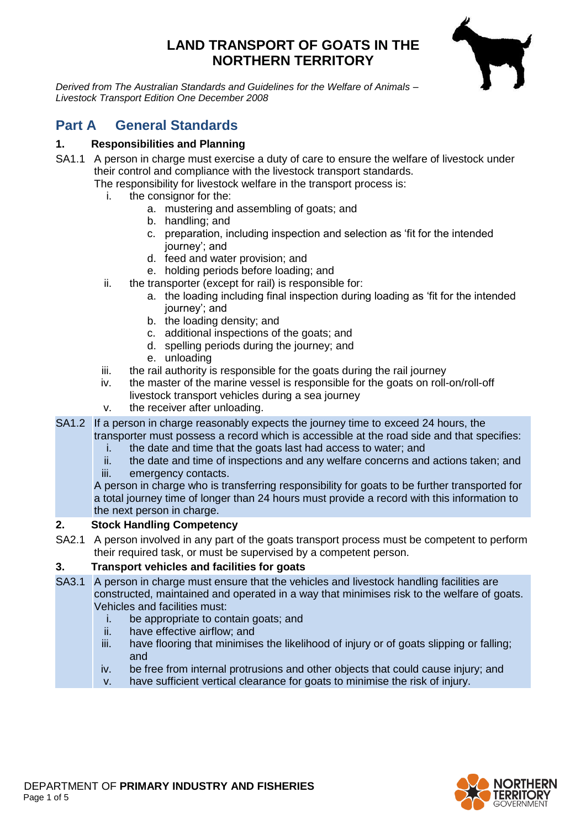# **LAND TRANSPORT OF GOATS IN THE NORTHERN TERRITORY**



*Derived from The Australian Standards and Guidelines for the Welfare of Animals – Livestock Transport Edition One December 2008*

# **Part A General Standards**

## **1. Responsibilities and Planning**

- SA1.1 A person in charge must exercise a duty of care to ensure the welfare of livestock under their control and compliance with the livestock transport standards. The responsibility for livestock welfare in the transport process is:
	- i. the consignor for the:
		- a. mustering and assembling of goats; and
		- b. handling; and
		- c. preparation, including inspection and selection as 'fit for the intended journey'; and
		- d. feed and water provision; and
		- e. holding periods before loading; and
	- ii. the transporter (except for rail) is responsible for:
		- a. the loading including final inspection during loading as 'fit for the intended journey'; and
		- b. the loading density; and
		- c. additional inspections of the goats; and
		- d. spelling periods during the journey; and
		- e. unloading
	- iii. the rail authority is responsible for the goats during the rail journey
	- iv. the master of the marine vessel is responsible for the goats on roll-on/roll-off livestock transport vehicles during a sea journey
	- v. the receiver after unloading.
- SA1.2 If a person in charge reasonably expects the journey time to exceed 24 hours, the

transporter must possess a record which is accessible at the road side and that specifies: i. the date and time that the goats last had access to water; and

- ii. the date and time of inspections and any welfare concerns and actions taken; and
- iii. emergency contacts.

A person in charge who is transferring responsibility for goats to be further transported for a total journey time of longer than 24 hours must provide a record with this information to the next person in charge.

## **2. Stock Handling Competency**

SA2.1 A person involved in any part of the goats transport process must be competent to perform their required task, or must be supervised by a competent person.

## **3. Transport vehicles and facilities for goats**

- SA3.1 A person in charge must ensure that the vehicles and livestock handling facilities are constructed, maintained and operated in a way that minimises risk to the welfare of goats. Vehicles and facilities must:
	- i. be appropriate to contain goats; and
	- ii. have effective airflow; and
	- iii. have flooring that minimises the likelihood of injury or of goats slipping or falling: and
	- iv. be free from internal protrusions and other objects that could cause injury; and
	- v. have sufficient vertical clearance for goats to minimise the risk of injury.

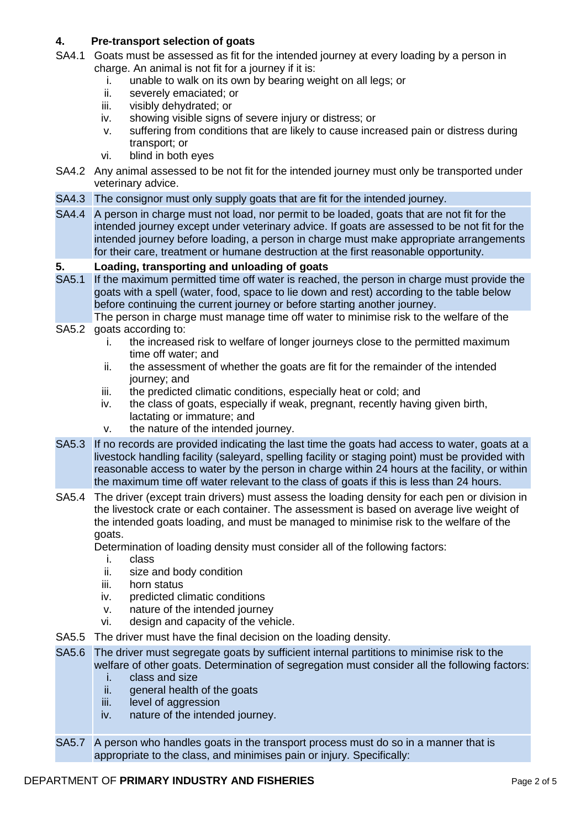### **4. Pre-transport selection of goats**

- SA4.1 Goats must be assessed as fit for the intended journey at every loading by a person in charge. An animal is not fit for a journey if it is:
	- i. unable to walk on its own by bearing weight on all legs; or ii. severely emaciated: or
	- severely emaciated; or
	- iii. visibly dehydrated; or
	- iv. showing visible signs of severe injury or distress; or
	- v. suffering from conditions that are likely to cause increased pain or distress during transport; or
	- vi. blind in both eyes
- SA4.2 Any animal assessed to be not fit for the intended journey must only be transported under veterinary advice.
- SA4.3 The consignor must only supply goats that are fit for the intended journey.
- SA4.4 A person in charge must not load, nor permit to be loaded, goats that are not fit for the intended journey except under veterinary advice. If goats are assessed to be not fit for the intended journey before loading, a person in charge must make appropriate arrangements for their care, treatment or humane destruction at the first reasonable opportunity.

#### **5. Loading, transporting and unloading of goats**

- SA5.1 If the maximum permitted time off water is reached, the person in charge must provide the goats with a spell (water, food, space to lie down and rest) according to the table below before continuing the current journey or before starting another journey.
- SA5.2 goats according to: The person in charge must manage time off water to minimise risk to the welfare of the
	- i. the increased risk to welfare of longer journeys close to the permitted maximum time off water; and
	- ii. the assessment of whether the goats are fit for the remainder of the intended journey; and
	- iii. the predicted climatic conditions, especially heat or cold; and
	- iv. the class of goats, especially if weak, pregnant, recently having given birth, lactating or immature; and
	- v. the nature of the intended journey.
- SA5.3 If no records are provided indicating the last time the goats had access to water, goats at a livestock handling facility (saleyard, spelling facility or staging point) must be provided with reasonable access to water by the person in charge within 24 hours at the facility, or within the maximum time off water relevant to the class of goats if this is less than 24 hours.
- SA5.4 The driver (except train drivers) must assess the loading density for each pen or division in the livestock crate or each container. The assessment is based on average live weight of the intended goats loading, and must be managed to minimise risk to the welfare of the goats.

Determination of loading density must consider all of the following factors:

- i. class
- ii. size and body condition
- iii. horn status
- iv. predicted climatic conditions
- v. nature of the intended journey
- vi. design and capacity of the vehicle.
- SA5.5 The driver must have the final decision on the loading density.
- SA5.6 The driver must segregate goats by sufficient internal partitions to minimise risk to the welfare of other goats. Determination of segregation must consider all the following factors:
	- i. class and size
	- ii. general health of the goats
	- iii. level of aggression
	- iv. nature of the intended journey.
- SA5.7 A person who handles goats in the transport process must do so in a manner that is appropriate to the class, and minimises pain or injury. Specifically:

#### DEPARTMENT OF **PRIMARY INDUSTRY AND FISHERIES** Page 2 of 5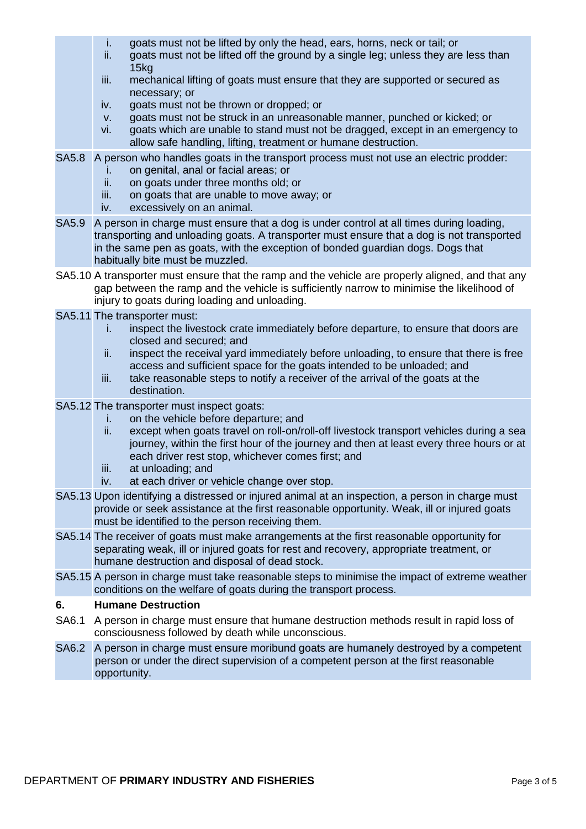- i. goats must not be lifted by only the head, ears, horns, neck or tail; or
- ii. goats must not be lifted off the ground by a single leg; unless they are less than 15kg
- iii. mechanical lifting of goats must ensure that they are supported or secured as necessary; or
- iv. goats must not be thrown or dropped; or
- v. goats must not be struck in an unreasonable manner, punched or kicked; or
- vi. goats which are unable to stand must not be dragged, except in an emergency to allow safe handling, lifting, treatment or humane destruction.
- SA5.8 A person who handles goats in the transport process must not use an electric prodder:
	- i. on genital, anal or facial areas; or
	- ii. on goats under three months old; or
	- iii. on goats that are unable to move away; or
	- iv. excessively on an animal.
- SA5.9 A person in charge must ensure that a dog is under control at all times during loading, transporting and unloading goats. A transporter must ensure that a dog is not transported in the same pen as goats, with the exception of bonded guardian dogs. Dogs that habitually bite must be muzzled.
- SA5.10 A transporter must ensure that the ramp and the vehicle are properly aligned, and that any gap between the ramp and the vehicle is sufficiently narrow to minimise the likelihood of injury to goats during loading and unloading.
- SA5.11 The transporter must:
	- i. inspect the livestock crate immediately before departure, to ensure that doors are closed and secured; and
	- ii. inspect the receival yard immediately before unloading, to ensure that there is free access and sufficient space for the goats intended to be unloaded; and
	- iii. take reasonable steps to notify a receiver of the arrival of the goats at the destination.
- SA5.12 The transporter must inspect goats:
	- i. on the vehicle before departure; and
	- ii. except when goats travel on roll-on/roll-off livestock transport vehicles during a sea journey, within the first hour of the journey and then at least every three hours or at each driver rest stop, whichever comes first; and
	- iii. at unloading; and
	- iv. at each driver or vehicle change over stop.
- SA5.13 Upon identifying a distressed or injured animal at an inspection, a person in charge must provide or seek assistance at the first reasonable opportunity. Weak, ill or injured goats must be identified to the person receiving them.
- SA5.14 The receiver of goats must make arrangements at the first reasonable opportunity for separating weak, ill or injured goats for rest and recovery, appropriate treatment, or humane destruction and disposal of dead stock.
- SA5.15 A person in charge must take reasonable steps to minimise the impact of extreme weather conditions on the welfare of goats during the transport process.

#### **6. Humane Destruction**

- SA6.1 A person in charge must ensure that humane destruction methods result in rapid loss of consciousness followed by death while unconscious.
- SA6.2 A person in charge must ensure moribund goats are humanely destroyed by a competent person or under the direct supervision of a competent person at the first reasonable opportunity.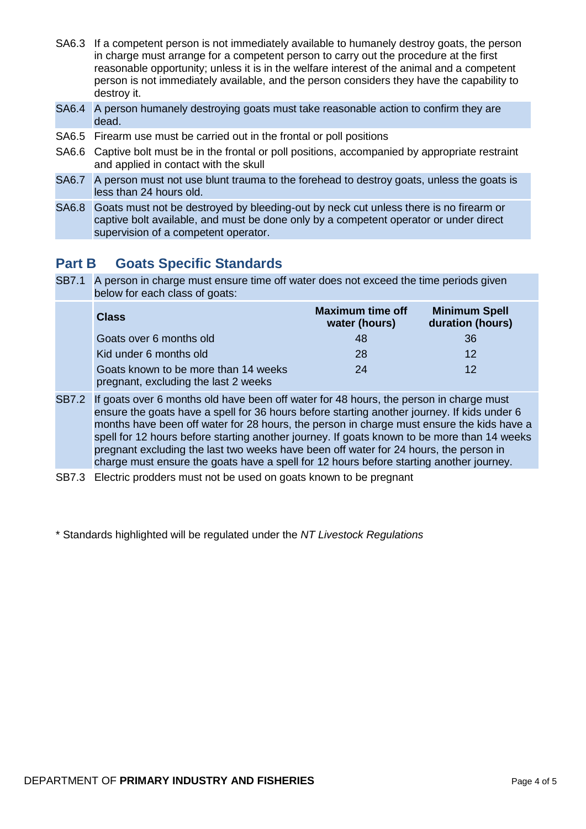- SA6.3 If a competent person is not immediately available to humanely destroy goats, the person in charge must arrange for a competent person to carry out the procedure at the first reasonable opportunity; unless it is in the welfare interest of the animal and a competent person is not immediately available, and the person considers they have the capability to destroy it.
- SA6.4 A person humanely destroying goats must take reasonable action to confirm they are dead.
- SA6.5 Firearm use must be carried out in the frontal or poll positions
- SA6.6 Captive bolt must be in the frontal or poll positions, accompanied by appropriate restraint and applied in contact with the skull
- SA6.7 A person must not use blunt trauma to the forehead to destroy goats, unless the goats is less than 24 hours old.
- SA6.8 Goats must not be destroyed by bleeding-out by neck cut unless there is no firearm or captive bolt available, and must be done only by a competent operator or under direct supervision of a competent operator.

# **Part B Goats Specific Standards**

SB7.1 A person in charge must ensure time off water does not exceed the time periods given below for each class of goats:

| <b>Class</b>                                                                 | <b>Maximum time off</b><br>water (hours) | <b>Minimum Spell</b><br>duration (hours) |
|------------------------------------------------------------------------------|------------------------------------------|------------------------------------------|
| Goats over 6 months old                                                      | 48                                       | 36                                       |
| Kid under 6 months old                                                       | 28                                       | 12                                       |
| Goats known to be more than 14 weeks<br>pregnant, excluding the last 2 weeks | 24                                       | 12                                       |

- SB7.2 If goats over 6 months old have been off water for 48 hours, the person in charge must ensure the goats have a spell for 36 hours before starting another journey. If kids under 6 months have been off water for 28 hours, the person in charge must ensure the kids have a spell for 12 hours before starting another journey. If goats known to be more than 14 weeks pregnant excluding the last two weeks have been off water for 24 hours, the person in charge must ensure the goats have a spell for 12 hours before starting another journey.
- SB7.3 Electric prodders must not be used on goats known to be pregnant
- \* Standards highlighted will be regulated under the *NT Livestock Regulations*